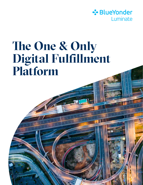

# **The One & Only Digital Fulfillment Platform**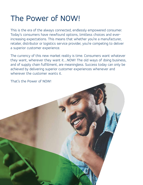## The Power of NOW!

This is the era of the always connected, endlessly empowered consumer. Today's consumers have newfound options, limitless choices and everincreasing expectations. This means that whether you're a manufacturer, retailer, distributor or logistics service provider, you're competing to deliver a superior customer experience.

The currency of this new market reality is time. Consumers want whatever they want, wherever they want it….NOW! The old ways of doing business, and of supply chain fulfillment, are meaningless. Success today can only be achieved by delivering superior customer experiences whenever and wherever the customer wants it.

That's the Power of NOW!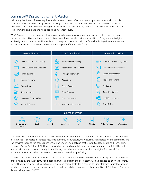#### Luminate™ Digital Fulfillment Platform

Delivering the Power of NOW requires a whole new concept of technology support not previously possible. It requires a digital fulfillment platform residing in the Cloud that is SaaS-based and infused with artificial intelligence (AI) and machine-learning (ML) capabilities that continuously increase its intelligence and its ability to recommend and make the right decisions instantaneously.

Why? Because the new consumer-driven global marketplace involves supply networks that are far too complex, connected, disruptive and time-critical for traditional linear supply chains and solutions. Today's world is digital, endlessly inter-connected and immediate. This requires a supply chain platform that is digital, comprehensive and instantaneous. It requires the Luminate™ Digital Fulfillment Platform.



The Luminate Digital Fulfillment Platform is a comprehensive business solution for today's always-on, instantaneous marketplace. It supports integrated real-time planning, manufacture, warehousing, transportation and commerce, and

delivers the power of NOW!

the efficient labor to run those functions, on an underlying platform that is smart, agile, mobile and connected. Luminate Digital Fulfillment Platform enables businesses to predict, plan for, make, optimize and fulfill the right product at the right price at the right time through any channel or location. It's the digital framework for autonomous supply chains that exceed customer expectations profitably.

Luminate Digital Fulfillment Platform consists of three integrated solution suites for planning, logistics and retail, underpinned by the intelligent, cloud-based Luminate platform and ecosystem, with a business-to-business control tower that makes supply chain activities visible and controllable. It's a one-of-its-kind platform for instantaneous

supply to demand orchestration and seamless end-to-end digital commerce. Luminate Digital Fulfillment Platform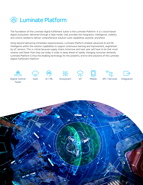

The foundation of the Luminate digital fulfillment suites is the Luminate Platform. It is a cloud-based digital ecosystem, delivered through a SaaS model, that provides the integration, intelligence, visibility and control needed to deliver comprehensive solution suite capabilities anytime, anywhere.

Going beyond delivering immediate responsiveness, Luminate Platform embeds advanced AI and ML intelligence within the solution capabilities to support continuous learning and improvement, augmented by IoT sensors. This is critical because supply chains tomorrow and next year will have to be that much smarter and faster than they are today in order to keep ahead of rapidly changing consumer demands. Luminate Platform is thus the enabling technology for the powerful, end-to-end solutions of the Luminate Digital Fulfillment Platform.















Digital Control Tower

 $AI/ML$ 

Ecosystem

API / Services

Integration

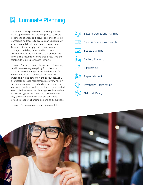

### D Luminate Planning

The global marketplace moves far too quickly for linear supply chains and planning systems. Rapid response to changes and disruptions, once the gold standard, is inadequate today. Companies must now be able to predict not only changes in consumer demand, but also supply chain disruptions and shortages. And they must be able to react instantaneously and profitably to the unexpected, as well. This requires planning that is real-time and iterative. It requires Luminate Planning.

Luminate Planning is an intelligent suite of planning capabilities covering everything from the broad scope of network design to the detailed plan for replenishment at the product/shelf level. By embedding AI and sensors in the supply network, it forecasts detailed requirements at every node in the fulfillment process and orchestrates plans for forecasted needs, as well as reactions to unexpected events. And because the planning suite is real-time and iterative, plans don't become obsolete when they encounter execution, they are constantly revised to support changing demand and situations.

Luminate Planning creates plans you can deliver.



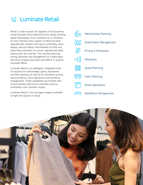

Retail is under assault. No segment of the business world has been more impacted by the rapidly evolving global marketplace. From commerce to e-commerce to omni-channel, every aspect of retail has been upended. But retailers still have to profitably stock, display, sell and deliver merchandise to fickle and discerning customers on a local, regional and wider basis across any channel. This requires planning, pricing, allocation and management at a faster pace and more complex level than ever before. It requires Luminate Retail.

Luminate Retail is an intelligent, integrated suite of solutions for merchandise, space, assortment and floor planning, as well as for allocations, pricing and promotions, store operations and workforce management. These capabilities are infused with AI and machine-learning to maximize revenue, profitability and customer loyalty.

Luminate Retail is the strongest weapon available to fight the assault on retail.



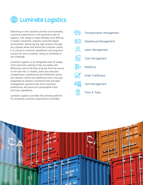

Delivering on the customer promise and exceeding customer expectations is the enormous task of logistics. This charge is made infinitely more difficult in today's anywhere, anytime consumer-based environment. Delivering the right product through any channel when and where the customer wants it is critical to customer satisfaction and long-term success for every business. Doing so profitably is the challenge.

Luminate Logistics is an integrated suite of supply chain execution solutions that accurately and efficiently control the flow of goods from the source to the last mile. It models, plans and executes transportation, warehousing and fulfillment across the network, within the warehouse and in the yard. Supported by industry-renowned task and labor management solutions that drive maximum productivity, and source-to-consumption track and trace capabilities,

Luminate Logistics provides the ultimate platform for exceeding customer expectations profitably.